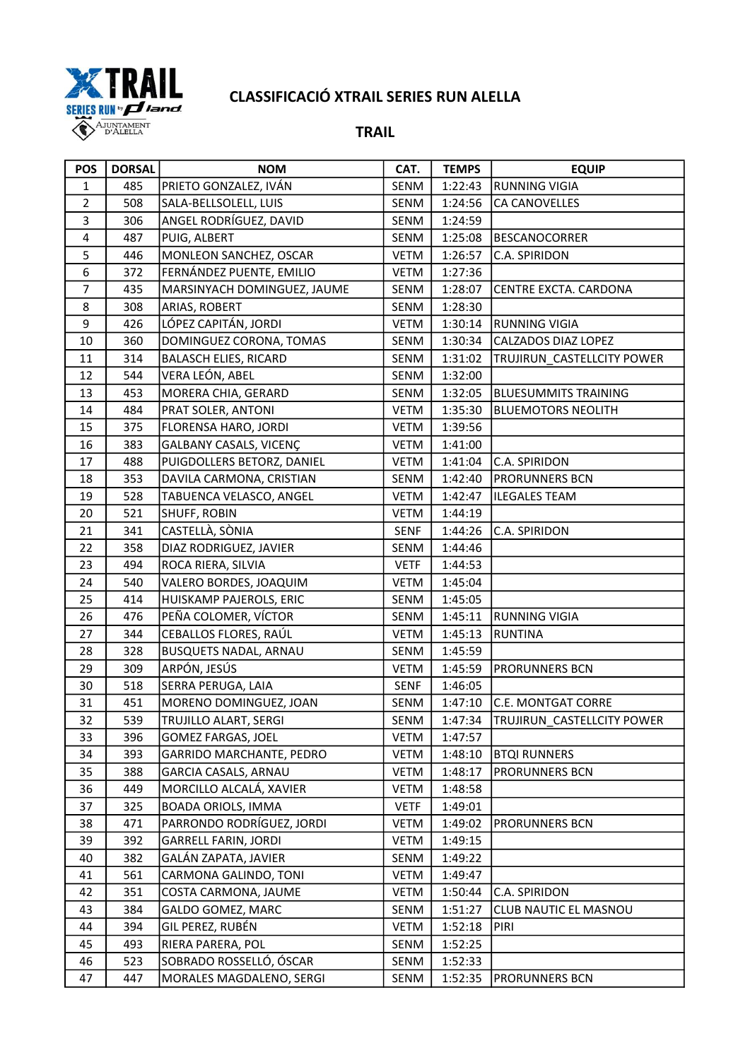

| <b>POS</b>              | <b>DORSAL</b> | <b>NOM</b>                   | CAT.        | <b>TEMPS</b> | <b>EQUIP</b>                      |
|-------------------------|---------------|------------------------------|-------------|--------------|-----------------------------------|
| $\mathbf{1}$            | 485           | PRIETO GONZALEZ, IVÁN        | SENM        | 1:22:43      | <b>RUNNING VIGIA</b>              |
| $\overline{2}$          | 508           | SALA-BELLSOLELL, LUIS        | SENM        | 1:24:56      | CA CANOVELLES                     |
| 3                       | 306           | ANGEL RODRÍGUEZ, DAVID       | SENM        | 1:24:59      |                                   |
| $\overline{\mathbf{4}}$ | 487           | PUIG, ALBERT                 | <b>SENM</b> | 1:25:08      | <b>BESCANOCORRER</b>              |
| 5                       | 446           | MONLEON SANCHEZ, OSCAR       | <b>VETM</b> | 1:26:57      | C.A. SPIRIDON                     |
| 6                       | 372           | FERNÁNDEZ PUENTE, EMILIO     | <b>VETM</b> | 1:27:36      |                                   |
| $\overline{7}$          | 435           | MARSINYACH DOMINGUEZ, JAUME  | SENM        | 1:28:07      | CENTRE EXCTA. CARDONA             |
| 8                       | 308           | ARIAS, ROBERT                | SENM        | 1:28:30      |                                   |
| 9                       | 426           | LÓPEZ CAPITÁN, JORDI         | <b>VETM</b> | 1:30:14      | <b>RUNNING VIGIA</b>              |
| 10                      | 360           | DOMINGUEZ CORONA, TOMAS      | SENM        | 1:30:34      | CALZADOS DIAZ LOPEZ               |
| 11                      | 314           | <b>BALASCH ELIES, RICARD</b> | SENM        | 1:31:02      | TRUJIRUN CASTELLCITY POWER        |
| 12                      | 544           | VERA LEÓN, ABEL              | SENM        | 1:32:00      |                                   |
| 13                      | 453           | MORERA CHIA, GERARD          | SENM        | 1:32:05      | <b>BLUESUMMITS TRAINING</b>       |
| 14                      | 484           | PRAT SOLER, ANTONI           | <b>VETM</b> | 1:35:30      | <b>BLUEMOTORS NEOLITH</b>         |
| 15                      | 375           | FLORENSA HARO, JORDI         | <b>VETM</b> | 1:39:56      |                                   |
| 16                      | 383           | GALBANY CASALS, VICENÇ       | <b>VETM</b> | 1:41:00      |                                   |
| 17                      | 488           | PUIGDOLLERS BETORZ, DANIEL   | <b>VETM</b> | 1:41:04      | C.A. SPIRIDON                     |
| 18                      | 353           | DAVILA CARMONA, CRISTIAN     | SENM        | 1:42:40      | <b>PRORUNNERS BCN</b>             |
| 19                      | 528           | TABUENCA VELASCO, ANGEL      | <b>VETM</b> | 1:42:47      | <b>ILEGALES TEAM</b>              |
| 20                      | 521           | SHUFF, ROBIN                 | <b>VETM</b> | 1:44:19      |                                   |
| 21                      | 341           | CASTELLÀ, SÒNIA              | <b>SENF</b> | 1:44:26      | C.A. SPIRIDON                     |
| 22                      | 358           | DIAZ RODRIGUEZ, JAVIER       | SENM        | 1:44:46      |                                   |
| 23                      | 494           | ROCA RIERA, SILVIA           | <b>VETF</b> | 1:44:53      |                                   |
| 24                      | 540           | VALERO BORDES, JOAQUIM       | <b>VETM</b> | 1:45:04      |                                   |
| 25                      | 414           | HUISKAMP PAJEROLS, ERIC      | SENM        | 1:45:05      |                                   |
| 26                      | 476           | PEÑA COLOMER, VÍCTOR         | SENM        | 1:45:11      | <b>RUNNING VIGIA</b>              |
| 27                      | 344           | CEBALLOS FLORES, RAÚL        | <b>VETM</b> | 1:45:13      | <b>RUNTINA</b>                    |
| 28                      | 328           | BUSQUETS NADAL, ARNAU        | SENM        | 1:45:59      |                                   |
| 29                      | 309           | ARPÓN, JESÚS                 | <b>VETM</b> | 1:45:59      | <b>PRORUNNERS BCN</b>             |
| 30                      | 518           | SERRA PERUGA, LAIA           | SENF        | 1:46:05      |                                   |
| 31                      | 451           | MORENO DOMINGUEZ, JOAN       | SENM        | 1:47:10      | <b>C.E. MONTGAT CORRE</b>         |
| 32                      | 539           | TRUJILLO ALART, SERGI        | SENM        | 1:47:34      | <b>TRUJIRUN_CASTELLCITY POWER</b> |
| 33                      | 396           | <b>GOMEZ FARGAS, JOEL</b>    | <b>VETM</b> | 1:47:57      |                                   |
| 34                      | 393           | GARRIDO MARCHANTE, PEDRO     | <b>VETM</b> | 1:48:10      | <b>BTQI RUNNERS</b>               |
| 35                      | 388           | GARCIA CASALS, ARNAU         | <b>VETM</b> | 1:48:17      | <b>PRORUNNERS BCN</b>             |
| 36                      | 449           | MORCILLO ALCALÁ, XAVIER      | <b>VETM</b> | 1:48:58      |                                   |
| 37                      | 325           | <b>BOADA ORIOLS, IMMA</b>    | <b>VETF</b> | 1:49:01      |                                   |
| 38                      | 471           | PARRONDO RODRÍGUEZ, JORDI    | VETM        | 1:49:02      | <b>PRORUNNERS BCN</b>             |
| 39                      | 392           | <b>GARRELL FARIN, JORDI</b>  | <b>VETM</b> | 1:49:15      |                                   |
| 40                      | 382           | GALÁN ZAPATA, JAVIER         | <b>SENM</b> | 1:49:22      |                                   |
| 41                      | 561           | CARMONA GALINDO, TONI        | <b>VETM</b> | 1:49:47      |                                   |
| 42                      | 351           | COSTA CARMONA, JAUME         | <b>VETM</b> | 1:50:44      | C.A. SPIRIDON                     |
| 43                      | 384           | GALDO GOMEZ, MARC            | SENM        | 1:51:27      | CLUB NAUTIC EL MASNOU             |
| 44                      | 394           | GIL PEREZ, RUBÉN             | <b>VETM</b> | 1:52:18      | <b>PIRI</b>                       |
| 45                      | 493           | RIERA PARERA, POL            | SENM        | 1:52:25      |                                   |
| 46                      | 523           | SOBRADO ROSSELLÓ, ÓSCAR      | SENM        | 1:52:33      |                                   |
| 47                      | 447           | MORALES MAGDALENO, SERGI     | SENM        | 1:52:35      | <b>PRORUNNERS BCN</b>             |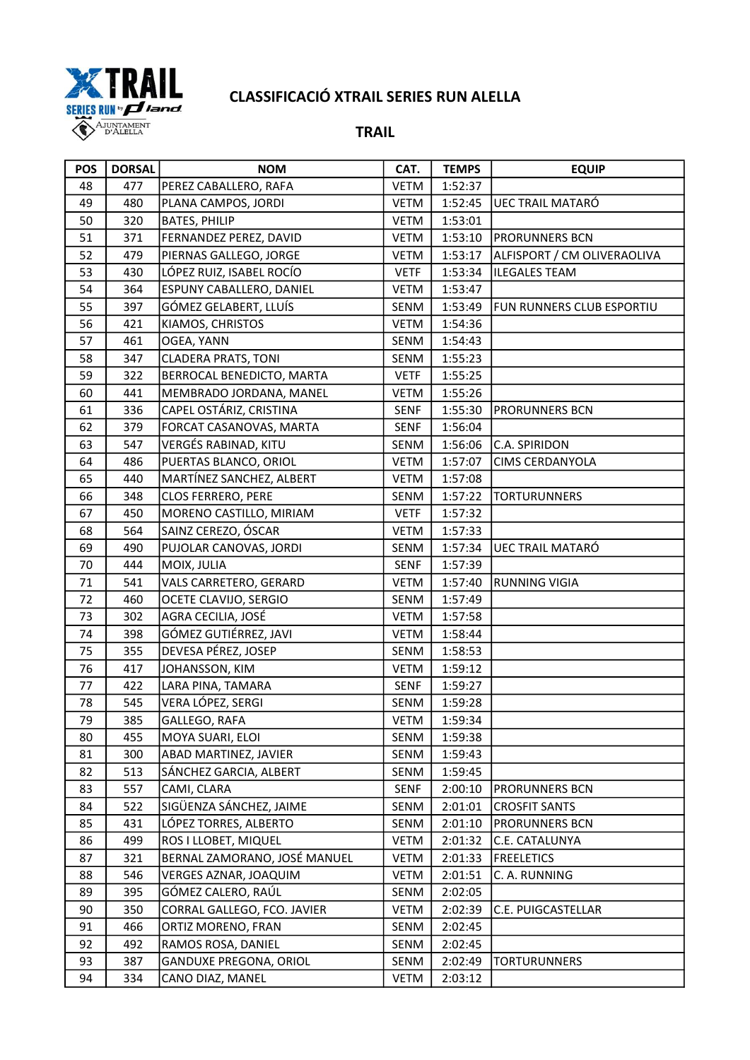

| <b>POS</b> | <b>DORSAL</b> | <b>NOM</b>                    | CAT.        | <b>TEMPS</b> | <b>EQUIP</b>                |
|------------|---------------|-------------------------------|-------------|--------------|-----------------------------|
| 48         | 477           | PEREZ CABALLERO, RAFA         | <b>VETM</b> | 1:52:37      |                             |
| 49         | 480           | PLANA CAMPOS, JORDI           | <b>VETM</b> | 1:52:45      | <b>UEC TRAIL MATARÓ</b>     |
| 50         | 320           | <b>BATES, PHILIP</b>          | <b>VETM</b> | 1:53:01      |                             |
| 51         | 371           | FERNANDEZ PEREZ, DAVID        | <b>VETM</b> | 1:53:10      | <b>PRORUNNERS BCN</b>       |
| 52         | 479           | PIERNAS GALLEGO, JORGE        | <b>VETM</b> | 1:53:17      | ALFISPORT / CM OLIVERAOLIVA |
| 53         | 430           | LÓPEZ RUIZ, ISABEL ROCÍO      | <b>VETF</b> | 1:53:34      | <b>ILEGALES TEAM</b>        |
| 54         | 364           | ESPUNY CABALLERO, DANIEL      | <b>VETM</b> | 1:53:47      |                             |
| 55         | 397           | GÓMEZ GELABERT, LLUÍS         | SENM        | 1:53:49      | FUN RUNNERS CLUB ESPORTIU   |
| 56         | 421           | KIAMOS, CHRISTOS              | <b>VETM</b> | 1:54:36      |                             |
| 57         | 461           | OGEA, YANN                    | SENM        | 1:54:43      |                             |
| 58         | 347           | <b>CLADERA PRATS, TONI</b>    | SENM        | 1:55:23      |                             |
| 59         | 322           | BERROCAL BENEDICTO, MARTA     | <b>VETF</b> | 1:55:25      |                             |
| 60         | 441           | MEMBRADO JORDANA, MANEL       | <b>VETM</b> | 1:55:26      |                             |
| 61         | 336           | CAPEL OSTÁRIZ, CRISTINA       | <b>SENF</b> | 1:55:30      | PRORUNNERS BCN              |
| 62         | 379           | FORCAT CASANOVAS, MARTA       | <b>SENF</b> | 1:56:04      |                             |
| 63         | 547           | VERGÉS RABINAD, KITU          | SENM        | 1:56:06      | C.A. SPIRIDON               |
| 64         | 486           | PUERTAS BLANCO, ORIOL         | <b>VETM</b> | 1:57:07      | CIMS CERDANYOLA             |
| 65         | 440           | MARTÍNEZ SANCHEZ, ALBERT      | <b>VETM</b> | 1:57:08      |                             |
| 66         | 348           | <b>CLOS FERRERO, PERE</b>     | SENM        | 1:57:22      | <b>TORTURUNNERS</b>         |
| 67         | 450           | MORENO CASTILLO, MIRIAM       | <b>VETF</b> | 1:57:32      |                             |
| 68         | 564           | SAINZ CEREZO, ÓSCAR           | <b>VETM</b> | 1:57:33      |                             |
| 69         | 490           | PUJOLAR CANOVAS, JORDI        | SENM        | 1:57:34      | <b>UEC TRAIL MATARÓ</b>     |
| 70         | 444           | MOIX, JULIA                   | <b>SENF</b> | 1:57:39      |                             |
| $71\,$     | 541           | VALS CARRETERO, GERARD        | <b>VETM</b> | 1:57:40      | <b>RUNNING VIGIA</b>        |
| 72         | 460           | OCETE CLAVIJO, SERGIO         | SENM        | 1:57:49      |                             |
| 73         | 302           | AGRA CECILIA, JOSÉ            | <b>VETM</b> | 1:57:58      |                             |
| 74         | 398           | GÓMEZ GUTIÉRREZ, JAVI         | <b>VETM</b> | 1:58:44      |                             |
| 75         | 355           | DEVESA PÉREZ, JOSEP           | SENM        | 1:58:53      |                             |
| 76         | 417           | JOHANSSON, KIM                | <b>VETM</b> | 1:59:12      |                             |
| $77 \,$    | 422           | LARA PINA, TAMARA             | <b>SENF</b> | 1:59:27      |                             |
| 78         | 545           | VERA LÓPEZ, SERGI             | SENM        | 1:59:28      |                             |
| 79         | 385           | GALLEGO, RAFA                 | <b>VETM</b> | 1:59:34      |                             |
| 80         | 455           | MOYA SUARI, ELOI              | SENM        | 1:59:38      |                             |
| 81         | 300           | ABAD MARTINEZ, JAVIER         | SENM        | 1:59:43      |                             |
| 82         | 513           | SÁNCHEZ GARCIA, ALBERT        | SENM        | 1:59:45      |                             |
| 83         | 557           | CAMI, CLARA                   | <b>SENF</b> | 2:00:10      | PRORUNNERS BCN              |
| 84         | 522           | SIGÜENZA SÁNCHEZ, JAIME       | SENM        | 2:01:01      | <b>CROSFIT SANTS</b>        |
| 85         | 431           | LÓPEZ TORRES, ALBERTO         | SENM        | 2:01:10      | PRORUNNERS BCN              |
| 86         | 499           | ROS I LLOBET, MIQUEL          | <b>VETM</b> | 2:01:32      | C.E. CATALUNYA              |
| 87         | 321           | BERNAL ZAMORANO, JOSÉ MANUEL  | <b>VETM</b> | 2:01:33      | <b>FREELETICS</b>           |
| 88         | 546           | VERGES AZNAR, JOAQUIM         | <b>VETM</b> | 2:01:51      | C. A. RUNNING               |
| 89         | 395           | GÓMEZ CALERO, RAÚL            | SENM        | 2:02:05      |                             |
| 90         | 350           | CORRAL GALLEGO, FCO. JAVIER   | <b>VETM</b> | 2:02:39      | C.E. PUIGCASTELLAR          |
| 91         | 466           | ORTIZ MORENO, FRAN            | SENM        | 2:02:45      |                             |
| 92         | 492           | RAMOS ROSA, DANIEL            | SENM        | 2:02:45      |                             |
| 93         | 387           | <b>GANDUXE PREGONA, ORIOL</b> | SENM        | 2:02:49      | <b>TORTURUNNERS</b>         |
| 94         | 334           | CANO DIAZ, MANEL              | <b>VETM</b> | 2:03:12      |                             |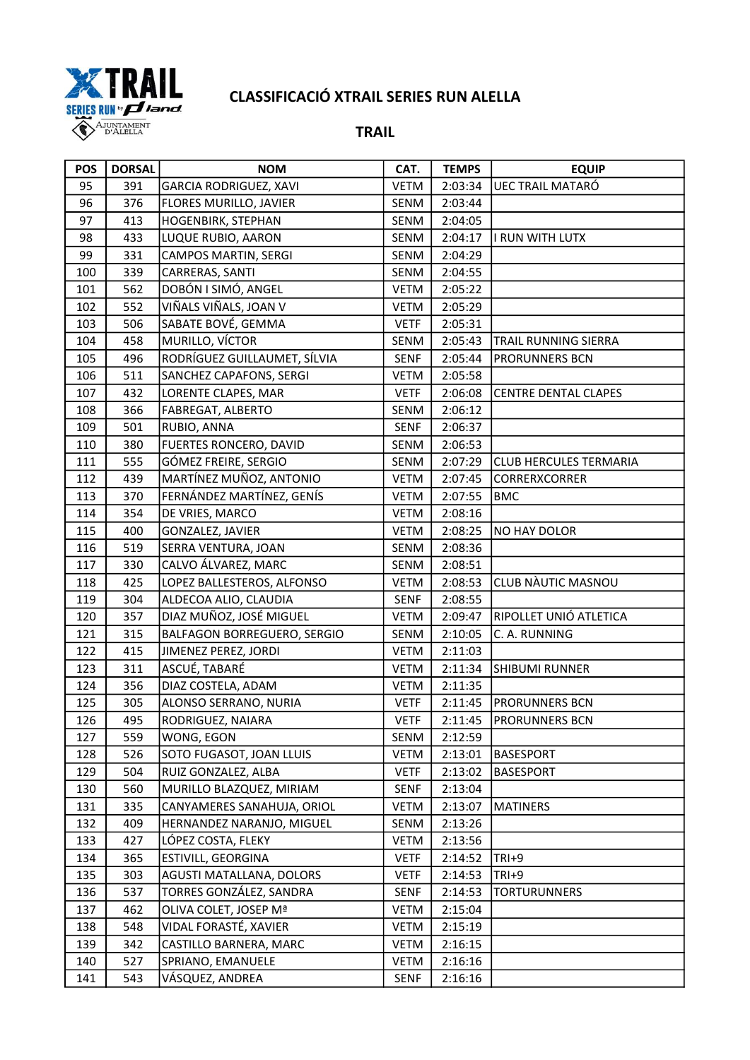

| <b>POS</b> | <b>DORSAL</b> | <b>NOM</b>                   | CAT.        | <b>TEMPS</b> | <b>EQUIP</b>                  |
|------------|---------------|------------------------------|-------------|--------------|-------------------------------|
| 95         | 391           | GARCIA RODRIGUEZ, XAVI       | <b>VETM</b> | 2:03:34      | <b>UEC TRAIL MATARÓ</b>       |
| 96         | 376           | FLORES MURILLO, JAVIER       | SENM        | 2:03:44      |                               |
| 97         | 413           | HOGENBIRK, STEPHAN           | SENM        | 2:04:05      |                               |
| 98         | 433           | LUQUE RUBIO, AARON           | <b>SENM</b> | 2:04:17      | I RUN WITH LUTX               |
| 99         | 331           | CAMPOS MARTIN, SERGI         | SENM        | 2:04:29      |                               |
| 100        | 339           | CARRERAS, SANTI              | SENM        | 2:04:55      |                               |
| 101        | 562           | DOBÓN I SIMÓ, ANGEL          | <b>VETM</b> | 2:05:22      |                               |
| 102        | 552           | VIÑALS VIÑALS, JOAN V        | <b>VETM</b> | 2:05:29      |                               |
| 103        | 506           | SABATE BOVÉ, GEMMA           | <b>VETF</b> | 2:05:31      |                               |
| 104        | 458           | MURILLO, VÍCTOR              | SENM        | 2:05:43      | TRAIL RUNNING SIERRA          |
| 105        | 496           | RODRÍGUEZ GUILLAUMET, SÍLVIA | <b>SENF</b> | 2:05:44      | PRORUNNERS BCN                |
| 106        | 511           | SANCHEZ CAPAFONS, SERGI      | <b>VETM</b> | 2:05:58      |                               |
| 107        | 432           | LORENTE CLAPES, MAR          | <b>VETF</b> | 2:06:08      | CENTRE DENTAL CLAPES          |
| 108        | 366           | FABREGAT, ALBERTO            | SENM        | 2:06:12      |                               |
| 109        | 501           | RUBIO, ANNA                  | <b>SENF</b> | 2:06:37      |                               |
| 110        | 380           | FUERTES RONCERO, DAVID       | SENM        | 2:06:53      |                               |
| 111        | 555           | GÓMEZ FREIRE, SERGIO         | SENM        | 2:07:29      | <b>CLUB HERCULES TERMARIA</b> |
| 112        | 439           | MARTÍNEZ MUÑOZ, ANTONIO      | <b>VETM</b> | 2:07:45      | CORRERXCORRER                 |
| 113        | 370           | FERNÁNDEZ MARTÍNEZ, GENÍS    | <b>VETM</b> | 2:07:55      | <b>BMC</b>                    |
| 114        | 354           | DE VRIES, MARCO              | <b>VETM</b> | 2:08:16      |                               |
| 115        | 400           | GONZALEZ, JAVIER             | <b>VETM</b> | 2:08:25      | NO HAY DOLOR                  |
| 116        | 519           | SERRA VENTURA, JOAN          | SENM        | 2:08:36      |                               |
| 117        | 330           | CALVO ÁLVAREZ, MARC          | SENM        | 2:08:51      |                               |
| 118        | 425           | LOPEZ BALLESTEROS, ALFONSO   | <b>VETM</b> | 2:08:53      | CLUB NÀUTIC MASNOU            |
| 119        | 304           | ALDECOA ALIO, CLAUDIA        | <b>SENF</b> | 2:08:55      |                               |
| 120        | 357           | DIAZ MUÑOZ, JOSÉ MIGUEL      | <b>VETM</b> | 2:09:47      | RIPOLLET UNIÓ ATLETICA        |
| 121        | 315           | BALFAGON BORREGUERO, SERGIO  | SENM        | 2:10:05      | C. A. RUNNING                 |
| 122        | 415           | JIMENEZ PEREZ, JORDI         | <b>VETM</b> | 2:11:03      |                               |
| 123        | 311           | ASCUÉ, TABARÉ                | <b>VETM</b> | 2:11:34      | <b>SHIBUMI RUNNER</b>         |
| 124        | 356           | DIAZ COSTELA, ADAM           | <b>VETM</b> | 2:11:35      |                               |
| 125        | 305           | ALONSO SERRANO, NURIA        | <b>VETF</b> | 2:11:45      | PRORUNNERS BCN                |
| 126        | 495           | RODRIGUEZ, NAIARA            | <b>VETF</b> | 2:11:45      | <b>PRORUNNERS BCN</b>         |
| 127        | 559           | WONG, EGON                   | SENM        | 2:12:59      |                               |
| 128        | 526           | SOTO FUGASOT, JOAN LLUIS     | <b>VETM</b> | 2:13:01      | <b>BASESPORT</b>              |
| 129        | 504           | RUIZ GONZALEZ, ALBA          | <b>VETF</b> | 2:13:02      | <b>BASESPORT</b>              |
| 130        | 560           | MURILLO BLAZQUEZ, MIRIAM     | <b>SENF</b> | 2:13:04      |                               |
| 131        | 335           | CANYAMERES SANAHUJA, ORIOL   | <b>VETM</b> | 2:13:07      | <b>MATINERS</b>               |
| 132        | 409           | HERNANDEZ NARANJO, MIGUEL    | SENM        | 2:13:26      |                               |
| 133        | 427           | LÓPEZ COSTA, FLEKY           | <b>VETM</b> | 2:13:56      |                               |
| 134        | 365           | ESTIVILL, GEORGINA           | <b>VETF</b> | 2:14:52      | $TRI+9$                       |
| 135        | 303           | AGUSTI MATALLANA, DOLORS     | <b>VETF</b> | 2:14:53      | $TRI+9$                       |
| 136        | 537           | TORRES GONZÁLEZ, SANDRA      | <b>SENF</b> | 2:14:53      | <b>TORTURUNNERS</b>           |
| 137        | 462           | OLIVA COLET, JOSEP Mª        | <b>VETM</b> | 2:15:04      |                               |
| 138        | 548           | VIDAL FORASTÉ, XAVIER        | <b>VETM</b> | 2:15:19      |                               |
| 139        | 342           | CASTILLO BARNERA, MARC       | VETM        | 2:16:15      |                               |
| 140        | 527           | SPRIANO, EMANUELE            | <b>VETM</b> | 2:16:16      |                               |
| 141        | 543           | VÁSQUEZ, ANDREA              | <b>SENF</b> | 2:16:16      |                               |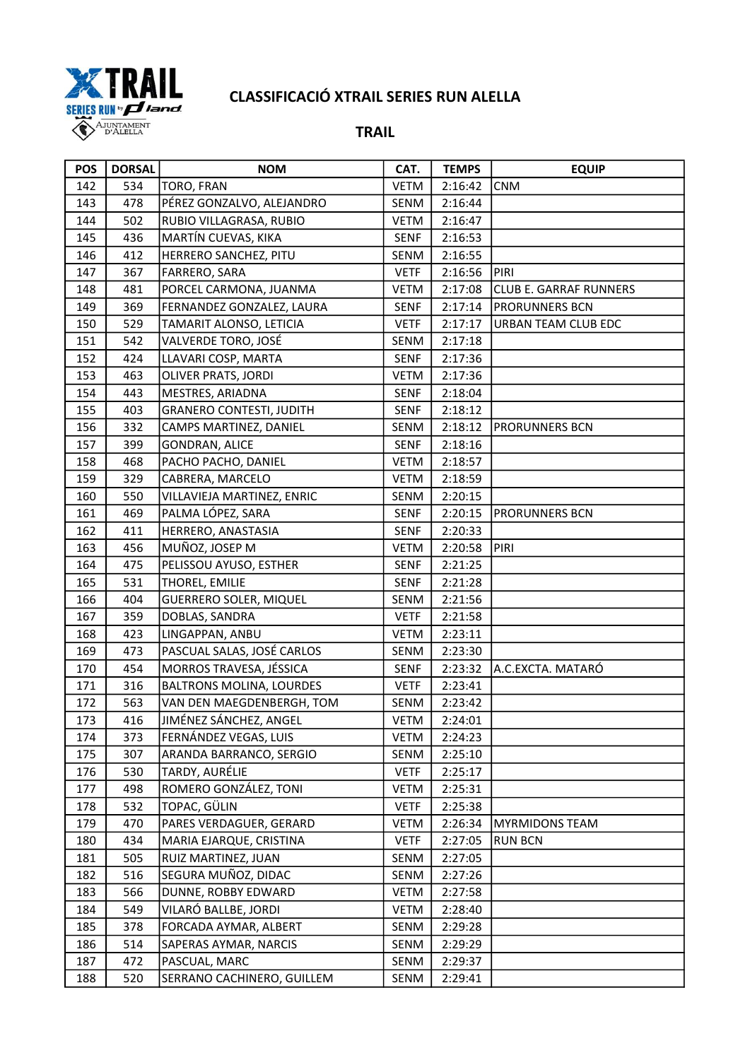

| <b>POS</b> | <b>DORSAL</b> | <b>NOM</b>                      | CAT.        | <b>TEMPS</b> | <b>EQUIP</b>                  |
|------------|---------------|---------------------------------|-------------|--------------|-------------------------------|
| 142        | 534           | TORO, FRAN                      | <b>VETM</b> | 2:16:42      | <b>CNM</b>                    |
| 143        | 478           | PÉREZ GONZALVO, ALEJANDRO       | SENM        | 2:16:44      |                               |
| 144        | 502           | RUBIO VILLAGRASA, RUBIO         | VETM        | 2:16:47      |                               |
| 145        | 436           | MARTÍN CUEVAS, KIKA             | <b>SENF</b> | 2:16:53      |                               |
| 146        | 412           | HERRERO SANCHEZ, PITU           | SENM        | 2:16:55      |                               |
| 147        | 367           | FARRERO, SARA                   | <b>VETF</b> | 2:16:56      | PIRI                          |
| 148        | 481           | PORCEL CARMONA, JUANMA          | VETM        | 2:17:08      | <b>CLUB E. GARRAF RUNNERS</b> |
| 149        | 369           | FERNANDEZ GONZALEZ, LAURA       | <b>SENF</b> | 2:17:14      | <b>PRORUNNERS BCN</b>         |
| 150        | 529           | TAMARIT ALONSO, LETICIA         | <b>VETF</b> | 2:17:17      | URBAN TEAM CLUB EDC           |
| 151        | 542           | VALVERDE TORO, JOSÉ             | SENM        | 2:17:18      |                               |
| 152        | 424           | LLAVARI COSP, MARTA             | <b>SENF</b> | 2:17:36      |                               |
| 153        | 463           | OLIVER PRATS, JORDI             | <b>VETM</b> | 2:17:36      |                               |
| 154        | 443           | MESTRES, ARIADNA                | <b>SENF</b> | 2:18:04      |                               |
| 155        | 403           | <b>GRANERO CONTESTI, JUDITH</b> | <b>SENF</b> | 2:18:12      |                               |
| 156        | 332           | CAMPS MARTINEZ, DANIEL          | SENM        | 2:18:12      | PRORUNNERS BCN                |
| 157        | 399           | <b>GONDRAN, ALICE</b>           | <b>SENF</b> | 2:18:16      |                               |
| 158        | 468           | PACHO PACHO, DANIEL             | <b>VETM</b> | 2:18:57      |                               |
| 159        | 329           | CABRERA, MARCELO                | VETM        | 2:18:59      |                               |
| 160        | 550           | VILLAVIEJA MARTINEZ, ENRIC      | <b>SENM</b> | 2:20:15      |                               |
| 161        | 469           | PALMA LÓPEZ, SARA               | <b>SENF</b> | 2:20:15      | PRORUNNERS BCN                |
| 162        | 411           | HERRERO, ANASTASIA              | <b>SENF</b> | 2:20:33      |                               |
| 163        | 456           | MUÑOZ, JOSEP M                  | <b>VETM</b> | 2:20:58      | PIRI                          |
| 164        | 475           | PELISSOU AYUSO, ESTHER          | <b>SENF</b> | 2:21:25      |                               |
| 165        | 531           | THOREL, EMILIE                  | <b>SENF</b> | 2:21:28      |                               |
| 166        | 404           | <b>GUERRERO SOLER, MIQUEL</b>   | SENM        | 2:21:56      |                               |
| 167        | 359           | DOBLAS, SANDRA                  | <b>VETF</b> | 2:21:58      |                               |
| 168        | 423           | LINGAPPAN, ANBU                 | <b>VETM</b> | 2:23:11      |                               |
| 169        | 473           | PASCUAL SALAS, JOSÉ CARLOS      | SENM        | 2:23:30      |                               |
| 170        | 454           | MORROS TRAVESA, JÉSSICA         | <b>SENF</b> | 2:23:32      | A.C.EXCTA. MATARÓ             |
| 171        | 316           | <b>BALTRONS MOLINA, LOURDES</b> | <b>VETF</b> | 2:23:41      |                               |
| 172        | 563           | VAN DEN MAEGDENBERGH, TOM       | SENM        | 2:23:42      |                               |
| 173        | 416           | JIMÉNEZ SÁNCHEZ, ANGEL          | <b>VETM</b> | 2:24:01      |                               |
| 174        | 373           | FERNÁNDEZ VEGAS, LUIS           | <b>VETM</b> | 2:24:23      |                               |
| 175        | 307           | ARANDA BARRANCO, SERGIO         | SENM        | 2:25:10      |                               |
| 176        | 530           | TARDY, AURÉLIE                  | <b>VETF</b> | 2:25:17      |                               |
| 177        | 498           | ROMERO GONZÁLEZ, TONI           | <b>VETM</b> | 2:25:31      |                               |
| 178        | 532           | TOPAC, GÜLIN                    | <b>VETF</b> | 2:25:38      |                               |
| 179        | 470           | PARES VERDAGUER, GERARD         | VETM        | 2:26:34      | <b>MYRMIDONS TEAM</b>         |
| 180        | 434           | MARIA EJARQUE, CRISTINA         | <b>VETF</b> | 2:27:05      | <b>RUN BCN</b>                |
| 181        | 505           | RUIZ MARTINEZ, JUAN             | <b>SENM</b> | 2:27:05      |                               |
| 182        | 516           | SEGURA MUÑOZ, DIDAC             | SENM        | 2:27:26      |                               |
| 183        | 566           | DUNNE, ROBBY EDWARD             | <b>VETM</b> | 2:27:58      |                               |
| 184        | 549           | VILARÓ BALLBE, JORDI            | <b>VETM</b> | 2:28:40      |                               |
| 185        | 378           | FORCADA AYMAR, ALBERT           | SENM        | 2:29:28      |                               |
| 186        | 514           | SAPERAS AYMAR, NARCIS           | SENM        | 2:29:29      |                               |
| 187        | 472           | PASCUAL, MARC                   | SENM        | 2:29:37      |                               |
| 188        | 520           | SERRANO CACHINERO, GUILLEM      | SENM        | 2:29:41      |                               |